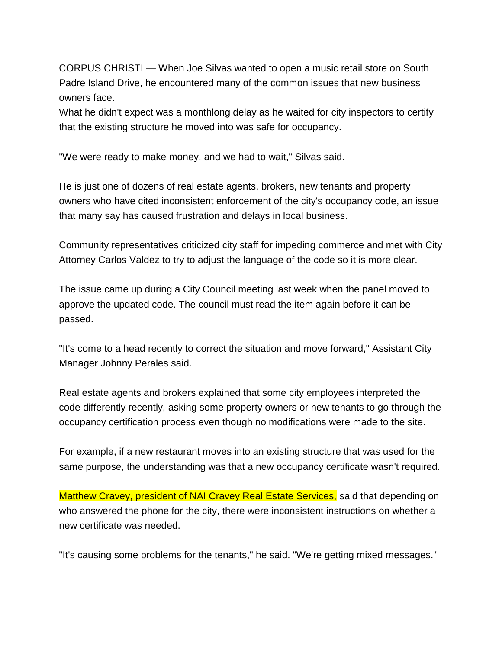CORPUS CHRISTI — When Joe Silvas wanted to open a music retail store on South Padre Island Drive, he encountered many of the common issues that new business owners face.

What he didn't expect was a monthlong delay as he waited for city inspectors to certify that the existing structure he moved into was safe for occupancy.

"We were ready to make money, and we had to wait," Silvas said.

He is just one of dozens of real estate agents, brokers, new tenants and property owners who have cited inconsistent enforcement of the city's occupancy code, an issue that many say has caused frustration and delays in local business.

Community representatives criticized city staff for impeding commerce and met with City Attorney Carlos Valdez to try to adjust the language of the code so it is more clear.

The issue came up during a City Council meeting last week when the panel moved to approve the updated code. The council must read the item again before it can be passed.

"It's come to a head recently to correct the situation and move forward," Assistant City Manager Johnny Perales said.

Real estate agents and brokers explained that some city employees interpreted the code differently recently, asking some property owners or new tenants to go through the occupancy certification process even though no modifications were made to the site.

For example, if a new restaurant moves into an existing structure that was used for the same purpose, the understanding was that a new occupancy certificate wasn't required.

Matthew Cravey, president of NAI Cravey Real Estate Services, said that depending on who answered the phone for the city, there were inconsistent instructions on whether a new certificate was needed.

"It's causing some problems for the tenants," he said. "We're getting mixed messages."